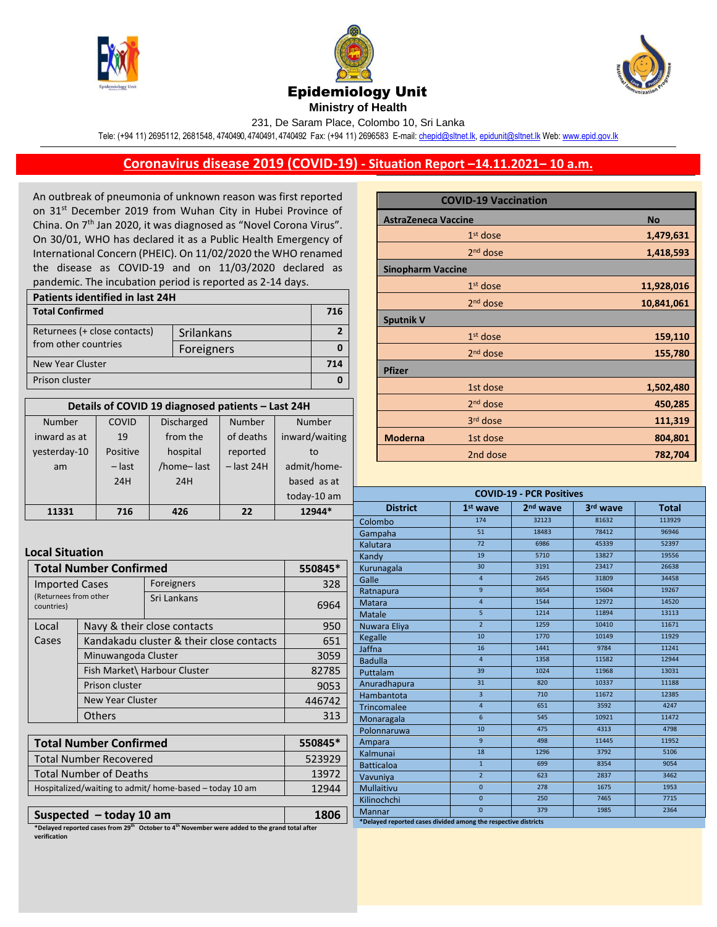





**Ministry of Health** 

231, De Saram Place, Colombo 10, Sri Lanka

Tele: (+94 11) 2695112, 2681548, 4740490, 4740491, 4740492 Fax: (+94 11) 2696583 E-mail[: chepid@sltnet.lk,](mailto:chepi@sltnet.lk) [epidunit@sltnet.lk](mailto:epidunit@sltnet.lk) Web[: www.epid.gov.lk](http://www.epid.gov.lk/)

## **Coronavirus disease 2019 (COVID-19) - Situation Report –14.11.2021– 10 a.m.**

An outbreak of pneumonia of unknown reason was first reported on 31<sup>st</sup> December 2019 from Wuhan City in Hubei Province of China. On 7<sup>th</sup> Jan 2020, it was diagnosed as "Novel Corona Virus". On 30/01, WHO has declared it as a Public Health Emergency of International Concern (PHEIC). On 11/02/2020 the WHO renamed the disease as COVID-19 and on 11/03/2020 declared as pandemic. The incubation period is reported as 2-14 days.

| Patients identified in last 24H |            |     |  |
|---------------------------------|------------|-----|--|
| <b>Total Confirmed</b>          |            | 716 |  |
| Returnees (+ close contacts)    | Srilankans |     |  |
| from other countries            | Foreigners |     |  |
| New Year Cluster                |            |     |  |
| Prison cluster                  |            |     |  |

| Details of COVID 19 diagnosed patients - Last 24H |          |                   |              |                |
|---------------------------------------------------|----------|-------------------|--------------|----------------|
| Number                                            | COVID    | <b>Discharged</b> | Number       | Number         |
| inward as at                                      | 19       | from the          | of deaths    | inward/waiting |
| vesterday-10                                      | Positive | hospital          | reported     | to             |
| am                                                | $-$ last | /home-last        | $-$ last 24H | admit/home-    |
|                                                   | 24H      | 24H               |              | based as at    |
|                                                   |          |                   |              | today-10 am    |
| 11331                                             | 716      | 426               | フフ           | 12944*         |

## **COVID-19 Vaccination AstraZeneca Vaccine No**  $1<sup>st</sup>$  dose st dose **1,479,631** 2<sup>nd</sup> dose nd dose **1,418,593 Sinopharm Vaccine**  1<sup>st</sup> dose st dose **11,928,016** 2<sup>nd</sup> dose nd dose **10,841,061 Sputnik V** 1<sup>st</sup> dose st dose **159,110** 2<sup>nd</sup> dose nd dose **155,780 Pfizer** 1st dose **1,502,480** 2 and 2 and 2 and 2 nd dose **450,285 2393**  $33.33$ rd dose **111,319 Moderna 1st dose** 2nd dose **782,704**

| <b>COVID-19 - PCR Positives</b> |                 |                      |          |              |  |
|---------------------------------|-----------------|----------------------|----------|--------------|--|
| <b>District</b>                 | $1st$ wave      | 2 <sup>nd</sup> wave | 3rd wave | <b>Total</b> |  |
| Colombo                         | 174             | 32123                | 81632    | 113929       |  |
| Gampaha                         | 51              | 18483                | 78412    | 96946        |  |
| Kalutara                        | 72              | 6986                 | 45339    | 52397        |  |
| Kandy                           | 19              | 5710                 | 13827    | 19556        |  |
| Kurunagala                      | 30              | 3191                 | 23417    | 26638        |  |
| Galle                           | $\overline{4}$  | 2645                 | 31809    | 34458        |  |
| Ratnapura                       | $\overline{9}$  | 3654                 | 15604    | 19267        |  |
| <b>Matara</b>                   | $\overline{4}$  | 1544                 | 12972    | 14520        |  |
| <b>Matale</b>                   | $\overline{5}$  | 1214                 | 11894    | 13113        |  |
| Nuwara Eliya                    | $\overline{2}$  | 1259                 | 10410    | 11671        |  |
| Kegalle                         | 10              | 1770                 | 10149    | 11929        |  |
| Jaffna                          | 16              | 1441                 | 9784     | 11241        |  |
| <b>Badulla</b>                  | $\overline{4}$  | 1358                 | 11582    | 12944        |  |
| Puttalam                        | 39              | 1024                 | 11968    | 13031        |  |
| Anuradhapura                    | 31              | 820                  | 10337    | 11188        |  |
| Hambantota                      | $\overline{3}$  | 710                  | 11672    | 12385        |  |
| Trincomalee                     | $\overline{a}$  | 651                  | 3592     | 4247         |  |
| Monaragala                      | $6\overline{6}$ | 545                  | 10921    | 11472        |  |
| Polonnaruwa                     | 10              | 475                  | 4313     | 4798         |  |
| Ampara                          | $\mathsf{q}$    | 498                  | 11445    | 11952        |  |
| Kalmunai                        | 18              | 1296                 | 3792     | 5106         |  |
| <b>Batticaloa</b>               | $\mathbf{1}$    | 699                  | 8354     | 9054         |  |
| Vavuniya                        | $\overline{2}$  | 623                  | 2837     | 3462         |  |
| <b>Mullaitivu</b>               | $\overline{0}$  | 278                  | 1675     | 1953         |  |
| Kilinochchi                     | $\mathbf{0}$    | 250                  | 7465     | 7715         |  |
| Mannar                          | $\overline{0}$  | 379                  | 1985     | 2364         |  |

**Local Situation**

| <b>Total Number Confirmed</b>                                |                                                                                                                                | 550845*     |        |
|--------------------------------------------------------------|--------------------------------------------------------------------------------------------------------------------------------|-------------|--------|
| <b>Imported Cases</b><br>(Returnees from other<br>countries) |                                                                                                                                | Foreigners  | 328    |
|                                                              |                                                                                                                                | Sri Lankans | 6964   |
| Local                                                        | Navy & their close contacts<br>Kandakadu cluster & their close contacts<br>Minuwangoda Cluster<br>Fish Market\ Harbour Cluster |             | 950    |
| Cases                                                        |                                                                                                                                |             | 651    |
|                                                              |                                                                                                                                |             | 3059   |
|                                                              |                                                                                                                                |             | 82785  |
| Prison cluster                                               |                                                                                                                                |             | 9053   |
|                                                              | <b>New Year Cluster</b>                                                                                                        |             | 446742 |
|                                                              | <b>Others</b>                                                                                                                  |             | 313    |

| Total Number Confirmed                                  | 550845* |
|---------------------------------------------------------|---------|
| <b>Total Number Recovered</b>                           | 523929  |
| <b>Total Number of Deaths</b>                           | 13972   |
| Hospitalized/waiting to admit/ home-based - today 10 am | 12944   |
|                                                         |         |

**Suspected – today 10 am 1806 \*Delayed reported cases from 29th October to 4th November were added to the grand total after verification**

**\*Delayed reported cases divided among the respective districts**